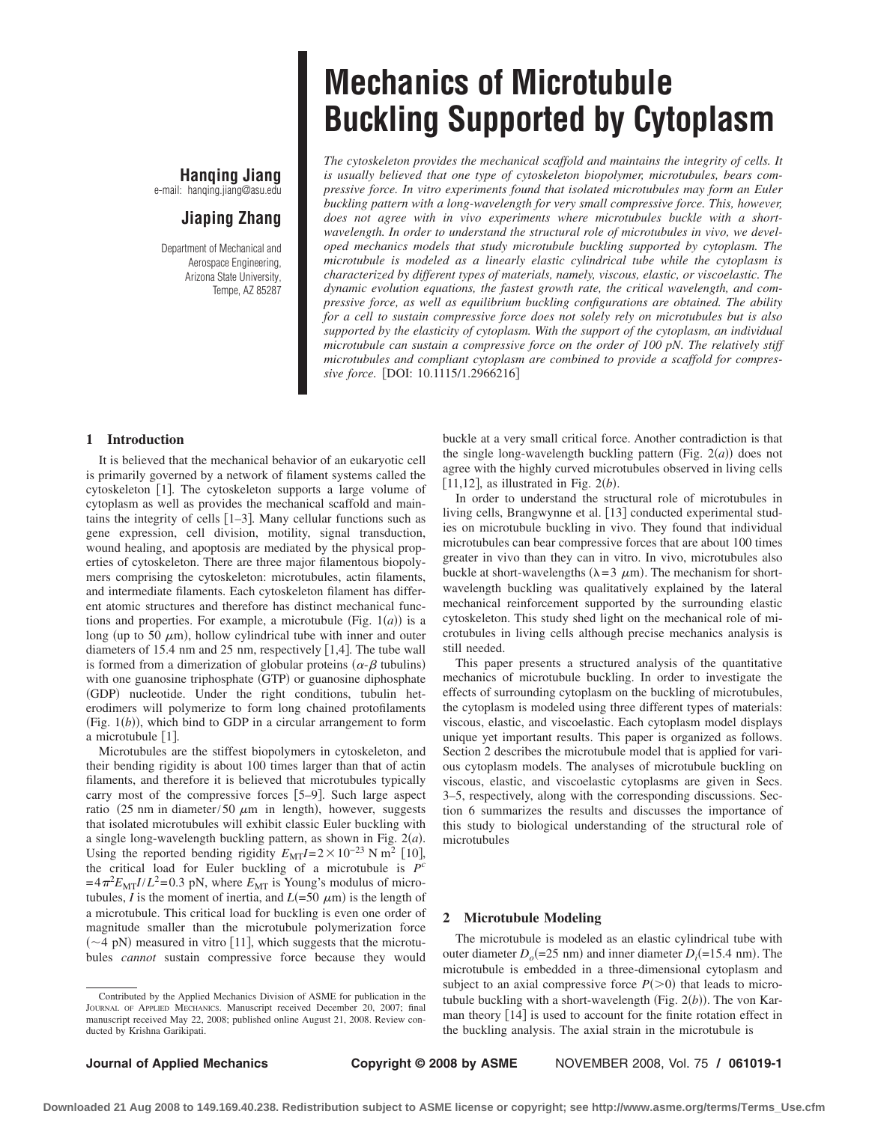### **Hanqing Jiang** e-mail: hanqing.jiang@asu.edu

## **Jiaping Zhang**

Department of Mechanical and Aerospace Engineering, Arizona State University, Tempe, AZ 85287

# **Mechanics of Microtubule Buckling Supported by Cytoplasm**

*The cytoskeleton provides the mechanical scaffold and maintains the integrity of cells. It is usually believed that one type of cytoskeleton biopolymer, microtubules, bears compressive force. In vitro experiments found that isolated microtubules may form an Euler buckling pattern with a long-wavelength for very small compressive force. This, however, does not agree with in vivo experiments where microtubules buckle with a shortwavelength. In order to understand the structural role of microtubules in vivo, we developed mechanics models that study microtubule buckling supported by cytoplasm. The microtubule is modeled as a linearly elastic cylindrical tube while the cytoplasm is characterized by different types of materials, namely, viscous, elastic, or viscoelastic. The dynamic evolution equations, the fastest growth rate, the critical wavelength, and compressive force, as well as equilibrium buckling configurations are obtained. The ability for a cell to sustain compressive force does not solely rely on microtubules but is also supported by the elasticity of cytoplasm. With the support of the cytoplasm, an individual microtubule can sustain a compressive force on the order of 100 pN. The relatively stiff microtubules and compliant cytoplasm are combined to provide a scaffold for compressive force.* [DOI: 10.1115/1.2966216]

#### **1 Introduction**

It is believed that the mechanical behavior of an eukaryotic cell is primarily governed by a network of filament systems called the cytoskeleton [1]. The cytoskeleton supports a large volume of cytoplasm as well as provides the mechanical scaffold and maintains the integrity of cells  $[1-3]$ . Many cellular functions such as gene expression, cell division, motility, signal transduction, wound healing, and apoptosis are mediated by the physical properties of cytoskeleton. There are three major filamentous biopolymers comprising the cytoskeleton: microtubules, actin filaments, and intermediate filaments. Each cytoskeleton filament has different atomic structures and therefore has distinct mechanical functions and properties. For example, a microtubule (Fig.  $1(a)$ ) is a long (up to 50  $\mu$ m), hollow cylindrical tube with inner and outer diameters of  $15.4$  nm and  $25$  nm, respectively  $[1,4]$ . The tube wall is formed from a dimerization of globular proteins  $(\alpha-\beta)$  tubulins) with one guanosine triphosphate (GTP) or guanosine diphosphate (GDP) nucleotide. Under the right conditions, tubulin heterodimers will polymerize to form long chained protofilaments (Fig.  $1(b)$ ), which bind to GDP in a circular arrangement to form a microtubule [1].

Microtubules are the stiffest biopolymers in cytoskeleton, and their bending rigidity is about 100 times larger than that of actin filaments, and therefore it is believed that microtubules typically carry most of the compressive forces [5-9]. Such large aspect ratio (25 nm in diameter/50  $\mu$ m in length), however, suggests that isolated microtubules will exhibit classic Euler buckling with a single long-wavelength buckling pattern, as shown in Fig. 2*a*. Using the reported bending rigidity  $E_{\text{MT}}I=2\times 10^{-23} \text{ N m}^2$  [10], the critical load for Euler buckling of a microtubule is *P<sup>c</sup>*  $= 4\pi^2 E_{\text{MT}} I/L^2 = 0.3 \text{ pN}$ , where  $E_{\text{MT}}$  is Young's modulus of microtubules, *I* is the moment of inertia, and  $L(=50 \mu m)$  is the length of a microtubule. This critical load for buckling is even one order of magnitude smaller than the microtubule polymerization force  $({\sim}4$  pN) measured in vitro [11], which suggests that the microtubules *cannot* sustain compressive force because they would

buckle at a very small critical force. Another contradiction is that the single long-wavelength buckling pattern (Fig.  $2(a)$ ) does not agree with the highly curved microtubules observed in living cells [11,12], as illustrated in Fig.  $2(b)$ .

In order to understand the structural role of microtubules in living cells, Brangwynne et al. [13] conducted experimental studies on microtubule buckling in vivo. They found that individual microtubules can bear compressive forces that are about 100 times greater in vivo than they can in vitro. In vivo, microtubules also buckle at short-wavelengths ( $\lambda = 3 \mu m$ ). The mechanism for shortwavelength buckling was qualitatively explained by the lateral mechanical reinforcement supported by the surrounding elastic cytoskeleton. This study shed light on the mechanical role of microtubules in living cells although precise mechanics analysis is still needed.

This paper presents a structured analysis of the quantitative mechanics of microtubule buckling. In order to investigate the effects of surrounding cytoplasm on the buckling of microtubules, the cytoplasm is modeled using three different types of materials: viscous, elastic, and viscoelastic. Each cytoplasm model displays unique yet important results. This paper is organized as follows. Section 2 describes the microtubule model that is applied for various cytoplasm models. The analyses of microtubule buckling on viscous, elastic, and viscoelastic cytoplasms are given in Secs. 3–5, respectively, along with the corresponding discussions. Section 6 summarizes the results and discusses the importance of this study to biological understanding of the structural role of microtubules

### **2 Microtubule Modeling**

The microtubule is modeled as an elastic cylindrical tube with outer diameter  $D_0(=25 \text{ nm})$  and inner diameter  $D_i(=15.4 \text{ nm})$ . The microtubule is embedded in a three-dimensional cytoplasm and subject to an axial compressive force  $P(>0)$  that leads to microtubule buckling with a short-wavelength (Fig.  $2(b)$ ). The von Karman theory [14] is used to account for the finite rotation effect in the buckling analysis. The axial strain in the microtubule is

**Journal of Applied Mechanics Copyright © 2008 by ASME** NOVEMBER 2008, Vol. 75 **/ 061019-1**

Contributed by the Applied Mechanics Division of ASME for publication in the JOURNAL OF APPLIED MECHANICS. Manuscript received December 20, 2007; final manuscript received May 22, 2008; published online August 21, 2008. Review conducted by Krishna Garikipati.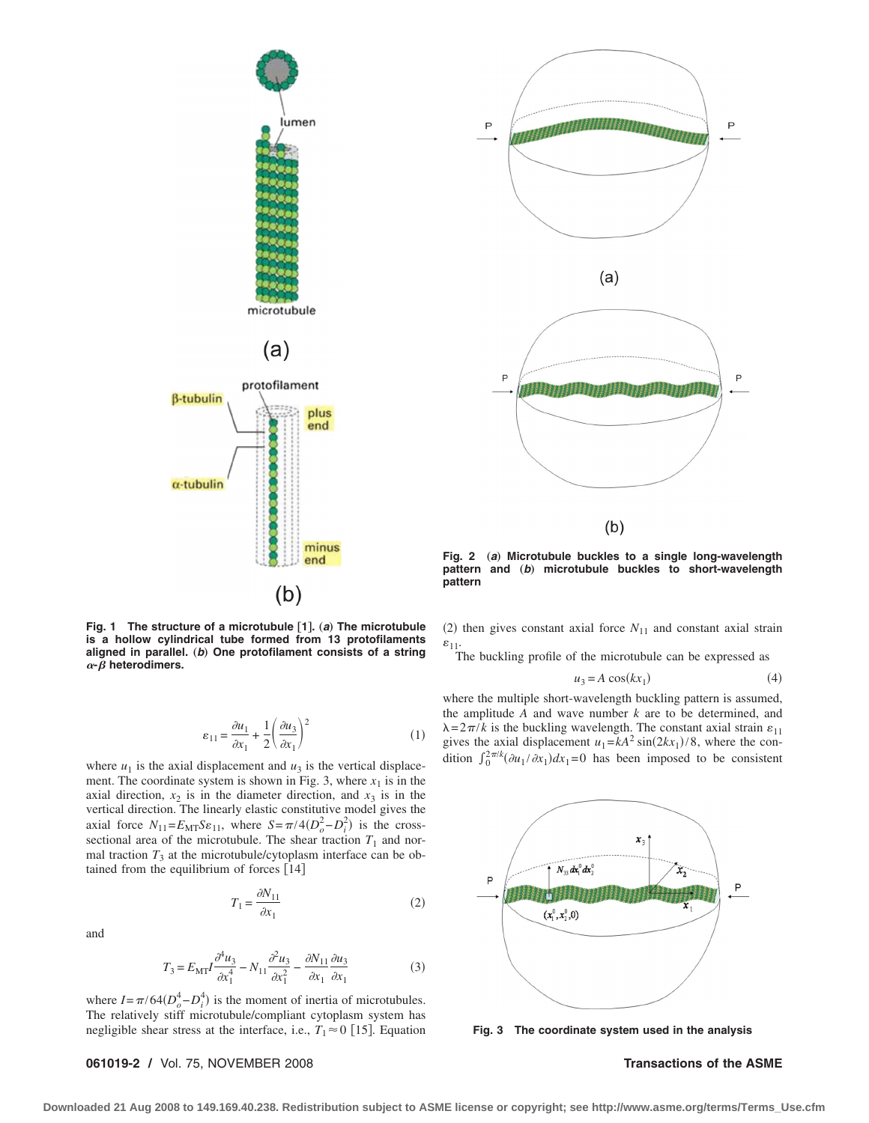

**Fig. 1 The structure of a microtubule** †**1**‡**.** "*a*… **The microtubule is a hollow cylindrical tube formed from 13 protofilaments** aligned in parallel. (b) One protofilament consists of a string  $\alpha$ - $\beta$  heterodimers.

$$
\varepsilon_{11} = \frac{\partial u_1}{\partial x_1} + \frac{1}{2} \left( \frac{\partial u_3}{\partial x_1} \right)^2 \tag{1}
$$

where  $u_1$  is the axial displacement and  $u_3$  is the vertical displacement. The coordinate system is shown in Fig. 3, where  $x_1$  is in the axial direction,  $x_2$  is in the diameter direction, and  $x_3$  is in the vertical direction. The linearly elastic constitutive model gives the axial force  $N_{11} = E_{\text{MT}} S \varepsilon_{11}$ , where  $S = \pi/4(D_o^2 - D_i^2)$  is the crosssectional area of the microtubule. The shear traction  $T_1$  and normal traction  $T_3$  at the microtubule/cytoplasm interface can be obtained from the equilibrium of forces [14]

$$
T_1 = \frac{\partial N_{11}}{\partial x_1} \tag{2}
$$



 $(b)$ 

Fig. 2 (a) Microtubule buckles to a single long-wavelength pattern and (b) microtubule buckles to short-wavelength **pattern**

(2) then gives constant axial force  $N_{11}$  and constant axial strain  $\varepsilon_{11}$ .

The buckling profile of the microtubule can be expressed as

$$
u_3 = A \cos(kx_1) \tag{4}
$$

where the multiple short-wavelength buckling pattern is assumed, the amplitude *A* and wave number *k* are to be determined, and  $\lambda = 2\pi/k$  is the buckling wavelength. The constant axial strain  $\varepsilon_{11}$ gives the axial displacement  $u_1 = kA^2 \sin(2kx_1)/8$ , where the condition  $\int_0^{2\pi/k} (\partial u_1 / \partial x_1) dx_1 = 0$  has been imposed to be consistent



**Fig. 3 The coordinate system used in the analysis**

$$
T_3 = E_{\rm MT} I \frac{\partial^4 u_3}{\partial x_1^4} - N_{11} \frac{\partial^2 u_3}{\partial x_1^2} - \frac{\partial N_{11}}{\partial x_1} \frac{\partial u_3}{\partial x_1}
$$
(3)

where  $I = \pi/64(D_o^4 - D_i^4)$  is the moment of inertia of microtubules. The relatively stiff microtubule/compliant cytoplasm system has negligible shear stress at the interface, i.e.,  $T_1 \approx 0$  [15]. Equation

### **061019-2 /** Vol. 75, NOVEMBER 2008 **Transactions of the ASME**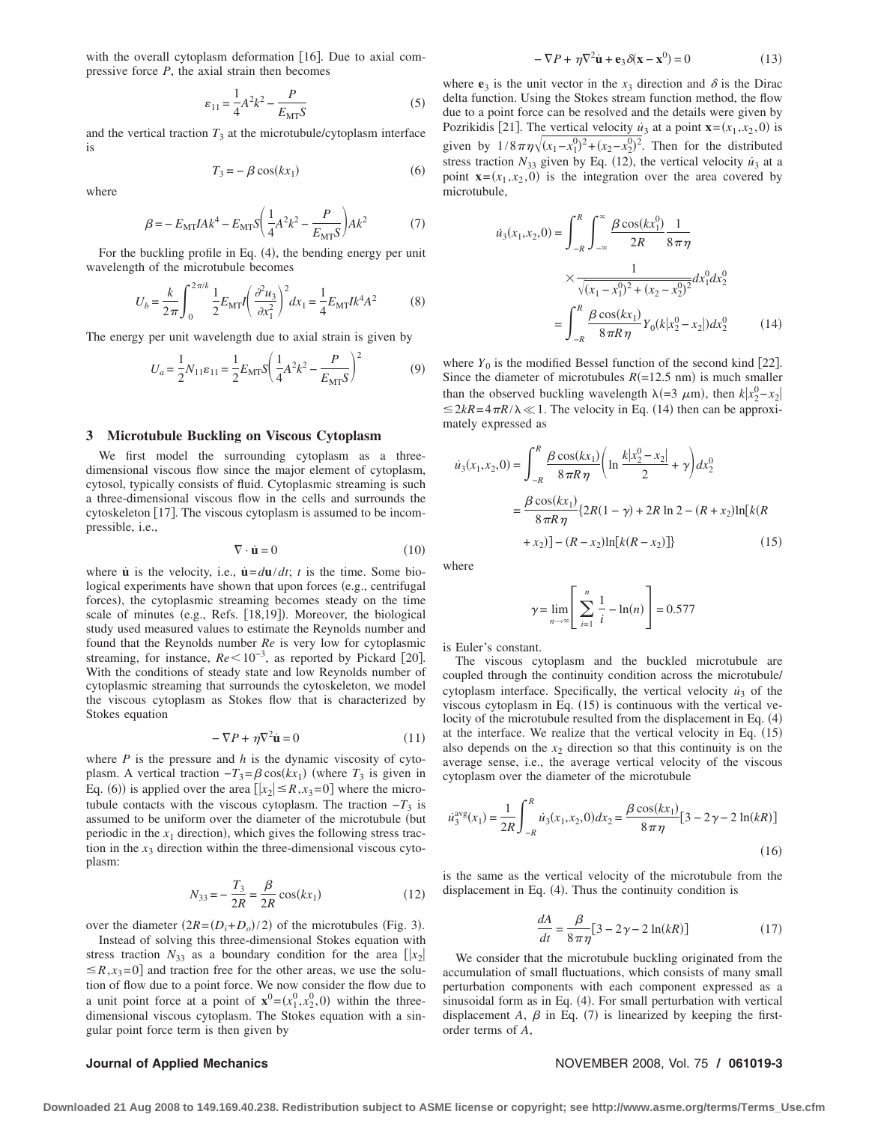with the overall cytoplasm deformation [16]. Due to axial compressive force *P*, the axial strain then becomes

$$
\varepsilon_{11} = \frac{1}{4}A^2k^2 - \frac{P}{E_{\text{MT}}S} \tag{5}
$$

and the vertical traction  $T_3$  at the microtubule/cytoplasm interface is

$$
T_3 = -\beta \cos(kx_1) \tag{6}
$$

where

$$
\beta = -E_{\rm MT} I A k^4 - E_{\rm MT} S \bigg( \frac{1}{4} A^2 k^2 - \frac{P}{E_{\rm MT} S} \bigg) A k^2 \tag{7}
$$

For the buckling profile in Eq.  $(4)$ , the bending energy per unit wavelength of the microtubule becomes

$$
U_b = \frac{k}{2\pi} \int_0^{2\pi/k} \frac{1}{2} E_{\text{MT}} I \left( \frac{\partial^2 u_3}{\partial x_1^2} \right)^2 dx_1 = \frac{1}{4} E_{\text{MT}} I k^4 A^2 \tag{8}
$$

The energy per unit wavelength due to axial strain is given by

$$
U_a = \frac{1}{2} N_{11} \varepsilon_{11} = \frac{1}{2} E_{\text{MT}} S \left( \frac{1}{4} A^2 k^2 - \frac{P}{E_{\text{MT}} S} \right)^2 \tag{9}
$$

#### **3 Microtubule Buckling on Viscous Cytoplasm**

We first model the surrounding cytoplasm as a threedimensional viscous flow since the major element of cytoplasm, cytosol, typically consists of fluid. Cytoplasmic streaming is such a three-dimensional viscous flow in the cells and surrounds the cytoskeleton [17]. The viscous cytoplasm is assumed to be incompressible, i.e.,

$$
\nabla \cdot \dot{\mathbf{u}} = 0 \tag{10}
$$

where **u** is the velocity, i.e.,  $\dot{\mathbf{u}} = d\mathbf{u}/dt$ ; *t* is the time. Some biological experiments have shown that upon forces (e.g., centrifugal forces), the cytoplasmic streaming becomes steady on the time scale of minutes (e.g., Refs. [18,19]). Moreover, the biological study used measured values to estimate the Reynolds number and found that the Reynolds number *Re* is very low for cytoplasmic streaming, for instance,  $Re \leq 10^{-3}$ , as reported by Pickard [20]. With the conditions of steady state and low Reynolds number of cytoplasmic streaming that surrounds the cytoskeleton, we model the viscous cytoplasm as Stokes flow that is characterized by Stokes equation

$$
-\nabla P + \eta \nabla^2 \dot{\mathbf{u}} = 0 \tag{11}
$$

where *P* is the pressure and *h* is the dynamic viscosity of cytoplasm. A vertical traction  $-T_3 = \beta \cos(kx_1)$  (where  $T_3$  is given in Eq. (6)) is applied over the area  $\left[ |x_2| \le R, x_3 = 0 \right]$  where the microtubule contacts with the viscous cytoplasm. The traction  $-T_3$  is assumed to be uniform over the diameter of the microtubule (but periodic in the  $x_1$  direction), which gives the following stress traction in the  $x_3$  direction within the three-dimensional viscous cytoplasm:

$$
N_{33} = -\frac{T_3}{2R} = \frac{\beta}{2R} \cos(kx_1)
$$
 (12)

over the diameter  $(2R = (D_i + D_o)/2)$  of the microtubules (Fig. 3).

Instead of solving this three-dimensional Stokes equation with stress traction  $N_{33}$  as a boundary condition for the area  $\left[\chi_2\right]$  $\leq R$ ,*x*<sub>3</sub>=0<sup> $]$ </sup> and traction free for the other areas, we use the solution of flow due to a point force. We now consider the flow due to a unit point force at a point of  $\mathbf{x}^0 = (x_1^0, x_2^0, 0)$  within the threedimensional viscous cytoplasm. The Stokes equation with a singular point force term is then given by

$$
-\nabla P + \eta \nabla^2 \dot{\mathbf{u}} + \mathbf{e}_3 \delta(\mathbf{x} - \mathbf{x}^0) = 0 \tag{13}
$$

where  $e_3$  is the unit vector in the  $x_3$  direction and  $\delta$  is the Dirac delta function. Using the Stokes stream function method, the flow due to a point force can be resolved and the details were given by Pozrikidis [21]. The vertical velocity  $\dot{u}_3$  at a point **x**= $(x_1, x_2, 0)$  is given by  $1/8\pi\eta\sqrt{(x_1-x_1^0)^2+(x_2-x_2^0)^2}$ . Then for the distributed stress traction  $N_{33}$  given by Eq. (12), the vertical velocity  $\dot{u}_3$  at a point  $\mathbf{x} = (x_1, x_2, 0)$  is the integration over the area covered by microtubule,

$$
\dot{u}_3(x_1, x_2, 0) = \int_{-R}^{R} \int_{-\infty}^{\infty} \frac{\beta \cos(kx_1^0)}{2R} \frac{1}{8\pi\eta}
$$

$$
\times \frac{1}{\sqrt{(x_1 - x_1^0)^2 + (x_2 - x_2^0)^2}} dx_1^0 dx_2^0
$$

$$
= \int_{-R}^{R} \frac{\beta \cos(kx_1)}{8\pi R\eta} Y_0(k|x_2^0 - x_2|) dx_2^0 \tag{14}
$$

where  $Y_0$  is the modified Bessel function of the second kind [22]. Since the diameter of microtubules  $R(=12.5 \text{ nm})$  is much smaller than the observed buckling wavelength  $\lambda$ (=3  $\mu$ m), then  $k|x_2^0 - x_2|$  $\leq 2kR = 4\pi R/\lambda \ll 1$ . The velocity in Eq. (14) then can be approximately expressed as

$$
\dot{u}_3(x_1, x_2, 0) = \int_{-R}^{R} \frac{\beta \cos(kx_1)}{8\pi R \eta} \left( \ln \frac{k|x_2^0 - x_2|}{2} + \gamma \right) dx_2^0
$$

$$
= \frac{\beta \cos(kx_1)}{8\pi R \eta} \{ 2R(1 - \gamma) + 2R \ln 2 - (R + x_2) \ln[k(R + x_2)] - (R - x_2) \ln[k(R - x_2)] \} \tag{15}
$$

where

$$
\gamma = \lim_{n \to \infty} \left[ \sum_{i=1}^{n} \frac{1}{i} - \ln(n) \right] = 0.577
$$

is Euler's constant.

The viscous cytoplasm and the buckled microtubule are coupled through the continuity condition across the microtubule/ cytoplasm interface. Specifically, the vertical velocity  $\dot{u}_3$  of the viscous cytoplasm in Eq.  $(15)$  is continuous with the vertical velocity of the microtubule resulted from the displacement in Eq.  $(4)$ at the interface. We realize that the vertical velocity in Eq.  $(15)$ also depends on the  $x_2$  direction so that this continuity is on the average sense, i.e., the average vertical velocity of the viscous cytoplasm over the diameter of the microtubule

$$
\dot{u}_3^{\text{avg}}(x_1) = \frac{1}{2R} \int_{-R}^{R} \dot{u}_3(x_1, x_2, 0) dx_2 = \frac{\beta \cos(kx_1)}{8\pi \eta} [3 - 2\gamma - 2\ln(kR)] \tag{16}
$$

is the same as the vertical velocity of the microtubule from the displacement in Eq.  $(4)$ . Thus the continuity condition is

$$
\frac{dA}{dt} = \frac{\beta}{8\pi\eta} [3 - 2\gamma - 2\ln(kR)]
$$
 (17)

We consider that the microtubule buckling originated from the accumulation of small fluctuations, which consists of many small perturbation components with each component expressed as a sinusoidal form as in Eq.  $(4)$ . For small perturbation with vertical displacement *A*,  $\beta$  in Eq. (7) is linearized by keeping the firstorder terms of *A*,

#### **Journal of Applied Mechanics** November 2008, Vol. 75 **/ 061019-3**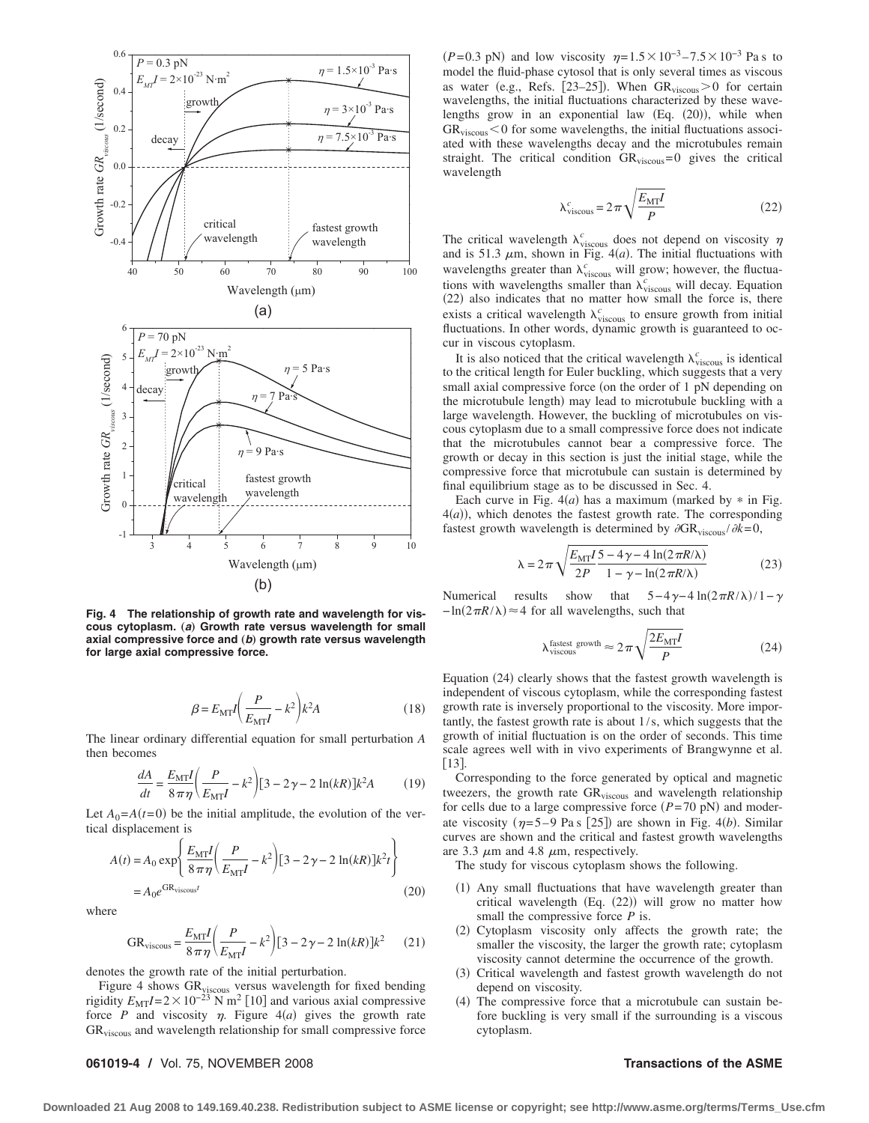

**Fig. 4 The relationship of growth rate and wavelength for vis**cous cytoplasm. (a) Growth rate versus wavelength for small axial compressive force and (b) growth rate versus wavelength **for large axial compressive force.**

$$
\beta = E_{\rm MT} I \left( \frac{P}{E_{\rm MT} I} - k^2 \right) k^2 A \tag{18}
$$

The linear ordinary differential equation for small perturbation *A* then becomes

$$
\frac{dA}{dt} = \frac{E_{\rm MT}I}{8\pi\eta} \left(\frac{P}{E_{\rm MT}I} - k^2\right) [3 - 2\gamma - 2\ln(kR)]k^2A\tag{19}
$$

Let  $A_0 = A(t=0)$  be the initial amplitude, the evolution of the vertical displacement is

$$
A(t) = A_0 \exp\left\{\frac{E_{\rm MT}I}{8\pi\eta} \left(\frac{P}{E_{\rm MT}I} - k^2\right) [3 - 2\gamma - 2\ln(kR)]k^2t\right\}
$$
  
=  $A_0 e^{GR_{\rm viscous}t}$  (20)

where

$$
GR_{\text{viscous}} = \frac{E_{\text{MT}}I}{8\,\pi\,\eta} \bigg(\frac{P}{E_{\text{MT}}I} - k^2\bigg)[3 - 2\,\gamma - 2\,\ln(kR)]k^2 \tag{21}
$$

denotes the growth rate of the initial perturbation.

Figure 4 shows  $GR<sub>viscous</sub>$  versus wavelength for fixed bending rigidity  $E_{\text{MT}}I = 2 \times 10^{-23} \text{ N m}^2$  [10] and various axial compressive force *P* and viscosity  $\eta$ . Figure 4(*a*) gives the growth rate GR<sub>viscous</sub> and wavelength relationship for small compressive force

#### **061019-4 /** Vol. 75, NOVEMBER 2008 **Transactions of the ASME**

 $(P= 0.3 \text{ pN})$  and low viscosity  $\eta = 1.5 \times 10^{-3} - 7.5 \times 10^{-3} \text{ Pa s}$  to model the fluid-phase cytosol that is only several times as viscous as water (e.g., Refs. [23–25]). When  $GR_{viscous} > 0$  for certain wavelengths, the initial fluctuations characterized by these wavelengths grow in an exponential law  $(Eq. (20))$ , while when  $GR<sub>viscous</sub> < 0$  for some wavelengths, the initial fluctuations associated with these wavelengths decay and the microtubules remain straight. The critical condition  $GR_{viscous} = 0$  gives the critical wavelength

$$
\lambda_{\text{viscous}}^c = 2\pi \sqrt{\frac{E_{\text{MT}}I}{P}}
$$
 (22)

The critical wavelength  $\lambda_{\text{viscous}}^c$  does not depend on viscosity  $\eta$ and is 51.3  $\mu$ m, shown in Fig. 4(*a*). The initial fluctuations with wavelengths greater than  $\lambda_{viscous}^c$  will grow; however, the fluctuations with wavelengths smaller than  $\lambda_{\text{viscous}}^c$  will decay. Equation (22) also indicates that no matter how small the force is, there exists a critical wavelength  $\lambda_{\text{viscous}}^c$  to ensure growth from initial fluctuations. In other words, dynamic growth is guaranteed to occur in viscous cytoplasm.

It is also noticed that the critical wavelength  $\lambda_{\text{viscous}}^c$  is identical to the critical length for Euler buckling, which suggests that a very small axial compressive force (on the order of 1 pN depending on the microtubule length) may lead to microtubule buckling with a large wavelength. However, the buckling of microtubules on viscous cytoplasm due to a small compressive force does not indicate that the microtubules cannot bear a compressive force. The growth or decay in this section is just the initial stage, while the compressive force that microtubule can sustain is determined by final equilibrium stage as to be discussed in Sec. 4.

Each curve in Fig.  $4(a)$  has a maximum (marked by  $*$  in Fig.  $4(a)$ ), which denotes the fastest growth rate. The corresponding fastest growth wavelength is determined by  $\partial G R_{viscous}/\partial k=0$ ,

$$
\lambda = 2\pi \sqrt{\frac{E_{\text{MT}}I}{2P} \frac{5 - 4\gamma - 4\ln(2\pi R/\lambda)}{1 - \gamma - \ln(2\pi R/\lambda)}}\tag{23}
$$

Numerical results show that  $5-4\gamma-4\ln(2\pi R/\lambda)/1-\gamma$  $-\ln(2\pi R/\lambda) \approx 4$  for all wavelengths, such that

$$
\lambda_{\text{viscous}}^{\text{fastest growth}} \approx 2\pi \sqrt{\frac{2E_{\text{MT}}I}{P}} \tag{24}
$$

Equation  $(24)$  clearly shows that the fastest growth wavelength is independent of viscous cytoplasm, while the corresponding fastest growth rate is inversely proportional to the viscosity. More importantly, the fastest growth rate is about 1/s, which suggests that the growth of initial fluctuation is on the order of seconds. This time scale agrees well with in vivo experiments of Brangwynne et al.  $[13]$ .

Corresponding to the force generated by optical and magnetic tweezers, the growth rate GR<sub>viscous</sub> and wavelength relationship for cells due to a large compressive force  $(P=70 \text{ pN})$  and moderate viscosity  $(\eta = 5 - 9$  Pa s [25]) are shown in Fig. 4(b). Similar curves are shown and the critical and fastest growth wavelengths are 3.3  $\mu$ m and 4.8  $\mu$ m, respectively.

The study for viscous cytoplasm shows the following.

- 1 Any small fluctuations that have wavelength greater than critical wavelength  $(Eq. (22))$  will grow no matter how small the compressive force *P* is.
- 2 Cytoplasm viscosity only affects the growth rate; the smaller the viscosity, the larger the growth rate; cytoplasm viscosity cannot determine the occurrence of the growth.
- Critical wavelength and fastest growth wavelength do not depend on viscosity.
- (4) The compressive force that a microtubule can sustain before buckling is very small if the surrounding is a viscous cytoplasm.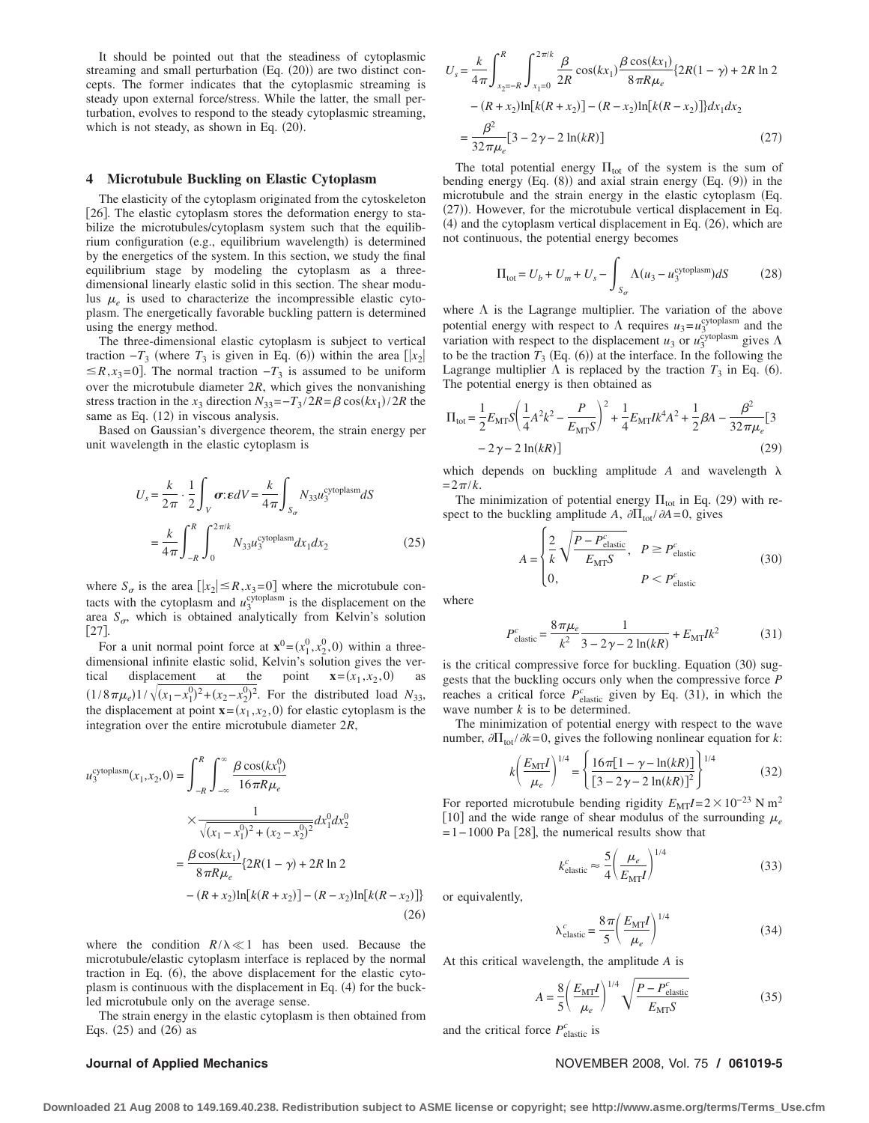It should be pointed out that the steadiness of cytoplasmic streaming and small perturbation  $(Eq. (20))$  are two distinct concepts. The former indicates that the cytoplasmic streaming is steady upon external force/stress. While the latter, the small perturbation, evolves to respond to the steady cytoplasmic streaming, which is not steady, as shown in Eq.  $(20)$ .

### **4 Microtubule Buckling on Elastic Cytoplasm**

The elasticity of the cytoplasm originated from the cytoskeleton [26]. The elastic cytoplasm stores the deformation energy to stabilize the microtubules/cytoplasm system such that the equilibrium configuration (e.g., equilibrium wavelength) is determined by the energetics of the system. In this section, we study the final equilibrium stage by modeling the cytoplasm as a threedimensional linearly elastic solid in this section. The shear modulus  $\mu_e$  is used to characterize the incompressible elastic cytoplasm. The energetically favorable buckling pattern is determined using the energy method.

The three-dimensional elastic cytoplasm is subject to vertical traction  $-T_3$  (where  $T_3$  is given in Eq. (6)) within the area  $\lfloor x_2 \rfloor$  $\leq R$ ,*x*<sub>3</sub>=0]. The normal traction  $-T_3$  is assumed to be uniform over the microtubule diameter 2*R*, which gives the nonvanishing stress traction in the *x*<sub>3</sub> direction  $N_{33} = -T_3 / 2R = \beta \cos(kx_1) / 2R$  the same as Eq.  $(12)$  in viscous analysis.

Based on Gaussian's divergence theorem, the strain energy per unit wavelength in the elastic cytoplasm is

$$
U_s = \frac{k}{2\pi} \cdot \frac{1}{2} \int_V \sigma \cdot \varepsilon dV = \frac{k}{4\pi} \int_{S_{\sigma}} N_{33} u_3^{\text{cytoplasm}} dS
$$
  
= 
$$
\frac{k}{4\pi} \int_{-R}^{R} \int_{0}^{2\pi/k} N_{33} u_3^{\text{cytoplasm}} dx_1 dx_2
$$
 (25)

where  $S_{\sigma}$  is the area  $\left[ |x_2| \le R, x_3 = 0 \right]$  where the microtubule contacts with the cytoplasm and  $u_3^{\text{cytoplasm}}$  is the displacement on the area  $S_{\sigma}$ , which is obtained analytically from Kelvin's solution  $[27]$ .

For a unit normal point force at  $\mathbf{x}^0 = (x_1^0, x_2^0, 0)$  within a threedimensional infinite elastic solid, Kelvin's solution gives the vertical displacement at the point  $\mathbf{x} = (x_1, x_2, 0)$  as  $(1/8\pi\mu_e)1/\sqrt{(x_1-x_1^0)^2+(x_2-x_2^0)^2}$ . For the distributed load *N*<sub>33</sub>, the displacement at point  $\mathbf{x} = (x_1, x_2, 0)$  for elastic cytoplasm is the integration over the entire microtubule diameter 2*R*,

$$
u_3^{\text{cytoplasm}}(x_1, x_2, 0) = \int_{-R}^{R} \int_{-\infty}^{\infty} \frac{\beta \cos(kx_1^0)}{16\pi R\mu_e}
$$
  
 
$$
\times \frac{1}{\sqrt{(x_1 - x_1^0)^2 + (x_2 - x_2^0)^2}} dx_1^0 dx_2^0
$$
  
= 
$$
\frac{\beta \cos(kx_1)}{8\pi R\mu_e} \{2R(1 - \gamma) + 2R \ln 2
$$
  
 
$$
- (R + x_2) \ln[k(R + x_2)] - (R - x_2) \ln[k(R - x_2)]\}
$$
(26)

where the condition  $R/\lambda \ll 1$  has been used. Because the microtubule/elastic cytoplasm interface is replaced by the normal traction in Eq.  $(6)$ , the above displacement for the elastic cytoplasm is continuous with the displacement in Eq.  $(4)$  for the buckled microtubule only on the average sense.

The strain energy in the elastic cytoplasm is then obtained from Eqs.  $(25)$  and  $(26)$  as

$$
U_s = \frac{k}{4\pi} \int_{x_2 = -R}^{R} \int_{x_1 = 0}^{2\pi/k} \frac{\beta}{2R} \cos(kx_1) \frac{\beta \cos(kx_1)}{8\pi R \mu_e} \{2R(1 - \gamma) + 2R \ln 2 - (R + x_2) \ln[k(R + x_2)] - (R - x_2) \ln[k(R - x_2)]\} dx_1 dx_2
$$
  
= 
$$
\frac{\beta^2}{32\pi \mu_e} [3 - 2\gamma - 2 \ln(kR)]
$$
(27)

The total potential energy  $\Pi_{tot}$  of the system is the sum of bending energy  $(Eq. (8))$  and axial strain energy  $(Eq. (9))$  in the microtubule and the strain energy in the elastic cytoplasm Eq.  $(27)$ ). However, for the microtubule vertical displacement in Eq.  $(4)$  and the cytoplasm vertical displacement in Eq.  $(26)$ , which are not continuous, the potential energy becomes

$$
\Pi_{\text{tot}} = U_b + U_m + U_s - \int_{S_{\sigma}} \Lambda (u_3 - u_3^{\text{cytoplasm}}) dS \tag{28}
$$

where  $\Lambda$  is the Lagrange multiplier. The variation of the above potential energy with respect to  $\Lambda$  requires  $u_3 = u_3^{\text{cytoplasm}}$  and the variation with respect to the displacement  $u_3$  or  $u_3^{\text{cytoplasm}}$  gives  $\Lambda$ to be the traction  $T_3$  (Eq. (6)) at the interface. In the following the Lagrange multiplier  $\Lambda$  is replaced by the traction  $T_3$  in Eq. (6). The potential energy is then obtained as

$$
\Pi_{\text{tot}} = \frac{1}{2} E_{\text{MT}} S \left( \frac{1}{4} A^2 k^2 - \frac{P}{E_{\text{MT}} S} \right)^2 + \frac{1}{4} E_{\text{MT}} I k^4 A^2 + \frac{1}{2} \beta A - \frac{\beta^2}{32 \pi \mu_e} [3 - 2\gamma - 2 \ln(kR)] \tag{29}
$$

which depends on buckling amplitude  $A$  and wavelength  $\lambda$  $= 2\pi/k$ .

The minimization of potential energy  $\Pi_{\text{tot}}$  in Eq. (29) with respect to the buckling amplitude *A*,  $\partial \Pi_{\text{tot}}/\partial A = 0$ , gives

$$
A = \begin{cases} \frac{2}{k} \sqrt{\frac{P - P_{\text{elastic}}^c}{E_{\text{MT}} S}}, & P \ge P_{\text{elastic}}^c\\ 0, & P < P_{\text{elastic}}^c \end{cases} \tag{30}
$$

where

$$
P_{\text{elastic}}^c = \frac{8\pi\mu_e}{k^2} \frac{1}{3 - 2\gamma - 2\ln(kR)} + E_{\text{MT}}Ik^2 \tag{31}
$$

is the critical compressive force for buckling. Equation (30) suggests that the buckling occurs only when the compressive force *P* reaches a critical force  $P_{\text{elastic}}^c$  given by Eq. (31), in which the wave number *k* is to be determined.

The minimization of potential energy with respect to the wave number,  $\partial \Pi_{\text{tot}}/\partial k = 0$ , gives the following nonlinear equation for *k*:

$$
k \left( \frac{E_{\text{MT}}I}{\mu_e} \right)^{1/4} = \left\{ \frac{16\pi [1 - \gamma - \ln(kR)]}{[3 - 2\gamma - 2\ln(kR)]^2} \right\}^{1/4}
$$
(32)

For reported microtubule bending rigidity  $E_{\text{MT}}I=2\times10^{-23}$  N m<sup>2</sup> [10] and the wide range of shear modulus of the surrounding  $\mu_e$  $= 1 - 1000$  Pa [28], the numerical results show that

$$
k_{\text{elastic}}^c \approx \frac{5}{4} \left( \frac{\mu_e}{E_{\text{MT}} I} \right)^{1/4} \tag{33}
$$

or equivalently,

$$
\lambda_{\text{elastic}}^c = \frac{8\pi}{5} \left(\frac{E_{\text{MT}}I}{\mu_e}\right)^{1/4} \tag{34}
$$

At this critical wavelength, the amplitude *A* is

$$
A = \frac{8}{5} \left( \frac{E_{\rm MT} I}{\mu_e} \right)^{1/4} \sqrt{\frac{P - P_{\rm elastic}^c}{E_{\rm MT} S}}
$$
(35)

and the critical force  $P_{\text{elastic}}^c$  is

#### **Journal of Applied Mechanics** November 2008, Vol. 75 **/ 061019-5**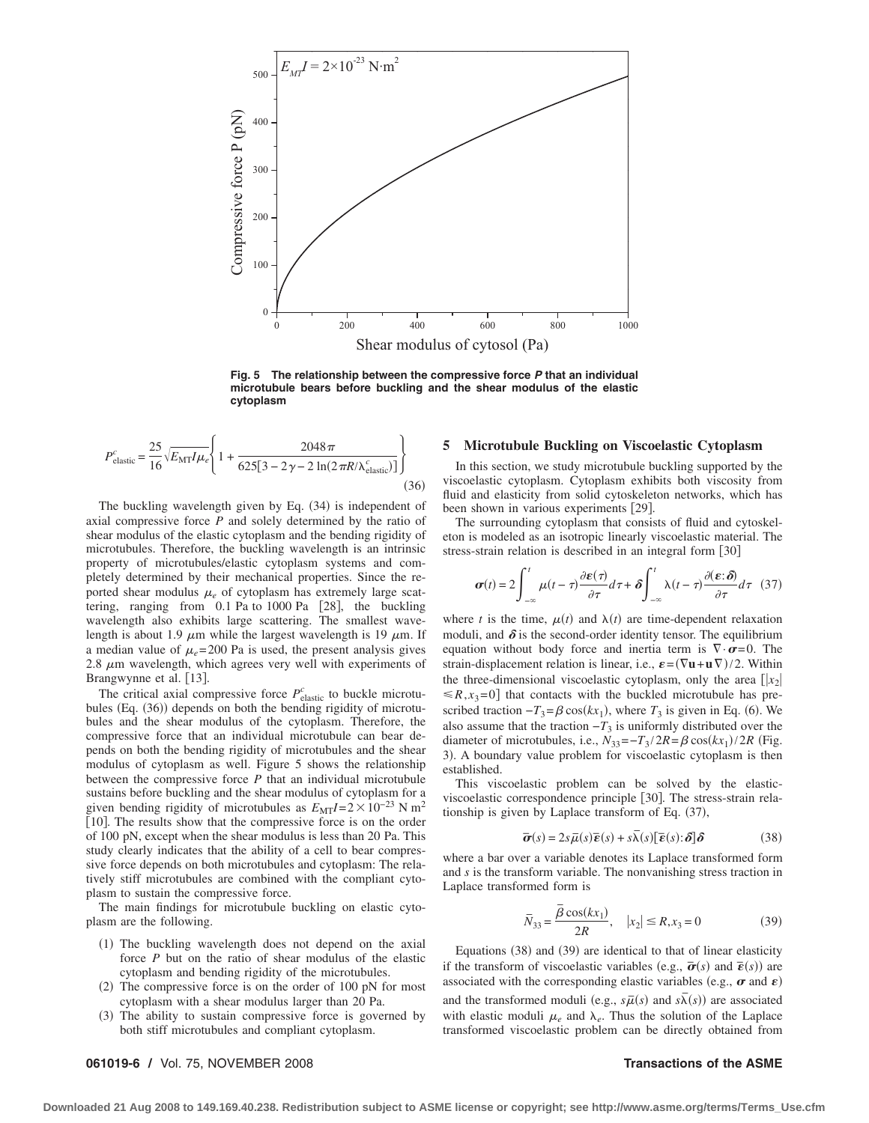

**Fig. 5 The relationship between the compressive force** *P* **that an individual microtubule bears before buckling and the shear modulus of the elastic cytoplasm**

$$
P_{\text{elastic}}^{c} = \frac{25}{16} \sqrt{E_{\text{MT}} I \mu_{e}} \left\{ 1 + \frac{2048 \pi}{625 [3 - 2\gamma - 2 \ln(2 \pi R / \lambda_{\text{elastic}}^{c})]} \right\}
$$
(36)

The buckling wavelength given by Eq.  $(34)$  is independent of axial compressive force *P* and solely determined by the ratio of shear modulus of the elastic cytoplasm and the bending rigidity of microtubules. Therefore, the buckling wavelength is an intrinsic property of microtubules/elastic cytoplasm systems and completely determined by their mechanical properties. Since the reported shear modulus  $\mu_e$  of cytoplasm has extremely large scattering, ranging from  $0.1$  Pa to 1000 Pa  $[28]$ , the buckling wavelength also exhibits large scattering. The smallest wavelength is about 1.9  $\mu$ m while the largest wavelength is 19  $\mu$ m. If a median value of  $\mu_e$ = 200 Pa is used, the present analysis gives 2.8  $\mu$ m wavelength, which agrees very well with experiments of Brangwynne et al. [13].

The critical axial compressive force  $P_{\text{elastic}}^c$  to buckle microtubules  $(Eq. (36))$  depends on both the bending rigidity of microtubules and the shear modulus of the cytoplasm. Therefore, the compressive force that an individual microtubule can bear depends on both the bending rigidity of microtubules and the shear modulus of cytoplasm as well. Figure 5 shows the relationship between the compressive force *P* that an individual microtubule sustains before buckling and the shear modulus of cytoplasm for a given bending rigidity of microtubules as  $E_{\text{MT}}I=2\times10^{-23}$  N m<sup>2</sup> [10]. The results show that the compressive force is on the order of 100 pN, except when the shear modulus is less than 20 Pa. This study clearly indicates that the ability of a cell to bear compressive force depends on both microtubules and cytoplasm: The relatively stiff microtubules are combined with the compliant cytoplasm to sustain the compressive force.

The main findings for microtubule buckling on elastic cytoplasm are the following.

- 1 The buckling wavelength does not depend on the axial force *P* but on the ratio of shear modulus of the elastic cytoplasm and bending rigidity of the microtubules.
- (2) The compressive force is on the order of  $100 \text{ pN}$  for most cytoplasm with a shear modulus larger than 20 Pa.
- 3 The ability to sustain compressive force is governed by both stiff microtubules and compliant cytoplasm.

#### **5 Microtubule Buckling on Viscoelastic Cytoplasm**

In this section, we study microtubule buckling supported by the viscoelastic cytoplasm. Cytoplasm exhibits both viscosity from fluid and elasticity from solid cytoskeleton networks, which has been shown in various experiments [29].

The surrounding cytoplasm that consists of fluid and cytoskeleton is modeled as an isotropic linearly viscoelastic material. The stress-strain relation is described in an integral form [30]

$$
\boldsymbol{\sigma}(t) = 2 \int_{-\infty}^{t} \mu(t-\tau) \frac{\partial \boldsymbol{\varepsilon}(\tau)}{\partial \tau} d\tau + \delta \int_{-\infty}^{t} \lambda(t-\tau) \frac{\partial (\boldsymbol{\varepsilon} \cdot \boldsymbol{\delta})}{\partial \tau} d\tau
$$
 (37)

where *t* is the time,  $\mu(t)$  and  $\lambda(t)$  are time-dependent relaxation moduli, and  $\delta$  is the second-order identity tensor. The equilibrium equation without body force and inertia term is  $\nabla \cdot \boldsymbol{\sigma} = 0$ . The strain-displacement relation is linear, i.e.,  $\varepsilon = (\nabla \mathbf{u} + \mathbf{u} \nabla)/2$ . Within the three-dimensional viscoelastic cytoplasm, only the area  $\left[\chi_2\right]$  $\leq R$ ,*x*<sub>3</sub>=0<sup>]</sup> that contacts with the buckled microtubule has prescribed traction  $-T_3 = \beta \cos(kx_1)$ , where  $T_3$  is given in Eq. (6). We also assume that the traction  $-T_3$  is uniformly distributed over the diameter of microtubules, i.e.,  $N_{33} = -T_3 / 2R = \beta \cos(kx_1) / 2R$  (Fig. 3). A boundary value problem for viscoelastic cytoplasm is then established.

This viscoelastic problem can be solved by the elasticviscoelastic correspondence principle [30]. The stress-strain relationship is given by Laplace transform of Eq.  $(37)$ ,

$$
\overline{\boldsymbol{\sigma}}(s) = 2s\overline{\mu}(s)\overline{\boldsymbol{\epsilon}}(s) + s\overline{\lambda}(s)[\overline{\boldsymbol{\epsilon}}(s):\delta]\delta
$$
 (38)

where a bar over a variable denotes its Laplace transformed form and *s* is the transform variable. The nonvanishing stress traction in Laplace transformed form is

$$
\overline{N}_{33} = \frac{\overline{\beta}\cos(kx_1)}{2R}, \quad |x_2| \le R, x_3 = 0 \tag{39}
$$

Equations  $(38)$  and  $(39)$  are identical to that of linear elasticity if the transform of viscoelastic variables (e.g.,  $\vec{\sigma}(s)$  and  $\vec{\epsilon}(s)$ ) are associated with the corresponding elastic variables (e.g.,  $\boldsymbol{\sigma}$  and  $\boldsymbol{\epsilon}$ ) and the transformed moduli (e.g.,  $s\overline{\mu}(s)$  and  $s\overline{\lambda}(s)$ ) are associated with elastic moduli  $\mu_e$  and  $\lambda_e$ . Thus the solution of the Laplace transformed viscoelastic problem can be directly obtained from

### **061019-6 /** Vol. 75, NOVEMBER 2008 **Transactions of the ASME**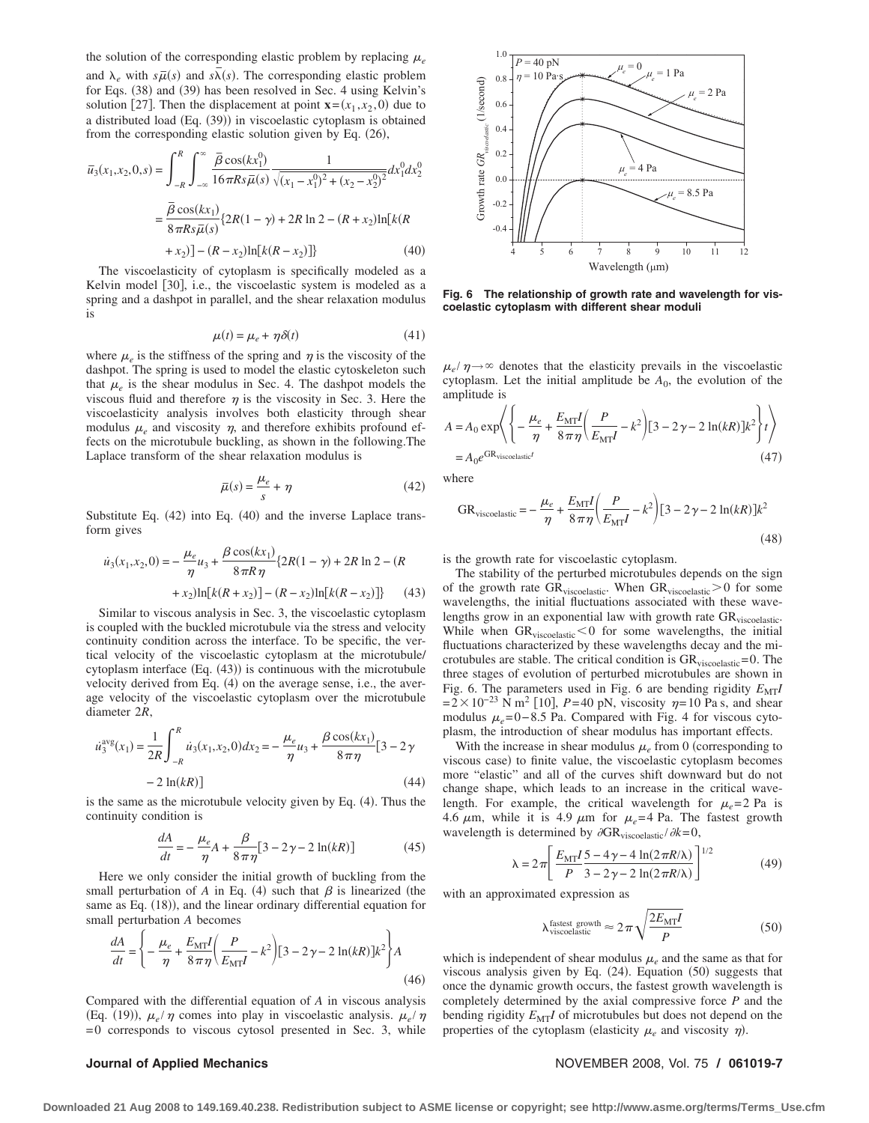the solution of the corresponding elastic problem by replacing  $\mu_e$ and  $\lambda_e$  with  $s\overline{\mu}(s)$  and  $s\overline{\lambda}(s)$ . The corresponding elastic problem for Eqs. (38) and (39) has been resolved in Sec. 4 using Kelvin's solution [27]. Then the displacement at point  $\mathbf{x} = (x_1, x_2, 0)$  due to a distributed load  $(Eq. (39))$  in viscoelastic cytoplasm is obtained from the corresponding elastic solution given by Eq. (26),

$$
\bar{u}_3(x_1, x_2, 0, s) = \int_{-R}^{R} \int_{-\infty}^{\infty} \frac{\bar{\beta} \cos(kx_1^0)}{16\pi R s \bar{\mu}(s)} \frac{1}{\sqrt{(x_1 - x_1^0)^2 + (x_2 - x_2^0)^2}} dx_1^0 dx_2^0
$$

$$
= \frac{\bar{\beta} \cos(kx_1)}{8\pi R s \bar{\mu}(s)} \{2R(1 - \gamma) + 2R \ln 2 - (R + x_2) \ln[k(R + x_2)] - (R - x_2) \ln[k(R - x_2)]\} \tag{40}
$$

The viscoelasticity of cytoplasm is specifically modeled as a Kelvin model [30], i.e., the viscoelastic system is modeled as a spring and a dashpot in parallel, and the shear relaxation modulus is

$$
\mu(t) = \mu_e + \eta \delta(t) \tag{41}
$$

where  $\mu_e$  is the stiffness of the spring and  $\eta$  is the viscosity of the dashpot. The spring is used to model the elastic cytoskeleton such that  $\mu_e$  is the shear modulus in Sec. 4. The dashpot models the viscous fluid and therefore  $\eta$  is the viscosity in Sec. 3. Here the viscoelasticity analysis involves both elasticity through shear modulus  $\mu_e$  and viscosity  $\eta$ , and therefore exhibits profound effects on the microtubule buckling, as shown in the following.The Laplace transform of the shear relaxation modulus is

$$
\bar{\mu}(s) = \frac{\mu_e}{s} + \eta \tag{42}
$$

Substitute Eq.  $(42)$  into Eq.  $(40)$  and the inverse Laplace transform gives

$$
\dot{u}_3(x_1, x_2, 0) = -\frac{\mu_e}{\eta} u_3 + \frac{\beta \cos(kx_1)}{8\pi R \eta} \{2R(1-\gamma) + 2R \ln 2 - (R + x_2) \ln[k(R + x_2)] - (R - x_2) \ln[k(R - x_2)]\}
$$
(43)

Similar to viscous analysis in Sec. 3, the viscoelastic cytoplasm is coupled with the buckled microtubule via the stress and velocity continuity condition across the interface. To be specific, the vertical velocity of the viscoelastic cytoplasm at the microtubule/ cytoplasm interface  $(Eq. (43))$  is continuous with the microtubule velocity derived from Eq.  $(4)$  on the average sense, i.e., the average velocity of the viscoelastic cytoplasm over the microtubule diameter 2*R*,

$$
\dot{u}_3^{\text{avg}}(x_1) = \frac{1}{2R} \int_{-R}^{R} \dot{u}_3(x_1, x_2, 0) dx_2 = -\frac{\mu_e}{\eta} u_3 + \frac{\beta \cos(kx_1)}{8\pi \eta} [3 - 2\gamma - 2 \ln(kR)] \tag{44}
$$

is the same as the microtubule velocity given by Eq.  $(4)$ . Thus the continuity condition is

$$
\frac{dA}{dt} = -\frac{\mu_e}{\eta}A + \frac{\beta}{8\pi\eta} [3 - 2\gamma - 2\ln(kR)] \tag{45}
$$

Here we only consider the initial growth of buckling from the small perturbation of *A* in Eq. (4) such that  $\beta$  is linearized (the same as Eq.  $(18)$ , and the linear ordinary differential equation for small perturbation *A* becomes

$$
\frac{dA}{dt} = \left\{ -\frac{\mu_e}{\eta} + \frac{E_{\rm MT}I}{8\pi\eta} \left( \frac{P}{E_{\rm MT}I} - k^2 \right) \left[ 3 - 2\gamma - 2\ln(kR) \right] k^2 \right\} A
$$
\n(46)

Compared with the differential equation of *A* in viscous analysis (Eq. (19)),  $\mu_e/\eta$  comes into play in viscoelastic analysis.  $\mu_e/\eta$  $= 0$  corresponds to viscous cytosol presented in Sec. 3, while



**Fig. 6 The relationship of growth rate and wavelength for viscoelastic cytoplasm with different shear moduli**

 $\mu_e/\eta \rightarrow \infty$  denotes that the elasticity prevails in the viscoelastic cytoplasm. Let the initial amplitude be  $A_0$ , the evolution of the amplitude is

$$
A = A_0 \exp\left\langle \left\{ -\frac{\mu_e}{\eta} + \frac{E_{\text{MT}}I}{8\pi\eta} \left( \frac{P}{E_{\text{MT}}I} - k^2 \right) \left[ 3 - 2\gamma - 2 \ln(kR) \right] k^2 \right\} t \right\rangle
$$
  
=  $A_0 e^{GR_{\text{viscoelastic}}t}$  (47)

where

$$
GR_{\text{viscoelastic}} = -\frac{\mu_e}{\eta} + \frac{E_{\text{MT}}I}{8\pi\eta} \left(\frac{P}{E_{\text{MT}}I} - k^2\right) [3 - 2\gamma - 2\ln(kR)]k^2
$$
\n(48)

is the growth rate for viscoelastic cytoplasm.

The stability of the perturbed microtubules depends on the sign of the growth rate  $GR_{viscoelastic}$ . When  $GR_{viscoelastic}$  is one wavelengths, the initial fluctuations associated with these wavelengths grow in an exponential law with growth rate GR<sub>viscoelastic</sub>. While when  $GR_{viscoelastic} < 0$  for some wavelengths, the initial fluctuations characterized by these wavelengths decay and the microtubules are stable. The critical condition is  $GR<sub>viscoelastic</sub> = 0$ . The three stages of evolution of perturbed microtubules are shown in Fig. 6. The parameters used in Fig. 6 are bending rigidity  $E_{\text{MT}}I$  $= 2 \times 10^{-23}$  N m<sup>2</sup> [10], *P*=40 pN, viscosity  $\eta = 10$  Pa s, and shear modulus  $\mu_e$ = 0−8.5 Pa. Compared with Fig. 4 for viscous cytoplasm, the introduction of shear modulus has important effects.

With the increase in shear modulus  $\mu_e$  from 0 (corresponding to viscous case) to finite value, the viscoelastic cytoplasm becomes more "elastic" and all of the curves shift downward but do not change shape, which leads to an increase in the critical wavelength. For example, the critical wavelength for  $\mu_e = 2$  Pa is 4.6  $\mu$ m, while it is 4.9  $\mu$ m for  $\mu$ <sub>e</sub>=4 Pa. The fastest growth wavelength is determined by  $\partial$ GR<sub>viscoelastic</sub>/ $\partial$ k=0,

$$
\lambda = 2\pi \left[ \frac{E_{\rm MT} I}{P} \frac{5 - 4\gamma - 4\ln(2\pi R/\lambda)}{3 - 2\gamma - 2\ln(2\pi R/\lambda)} \right]^{1/2} \tag{49}
$$

with an approximated expression as

$$
\lambda_{\text{viscoelastic}}^{\text{fastest growth}} \approx 2\pi \sqrt{\frac{2E_{\text{MT}}I}{P}}
$$
 (50)

which is independent of shear modulus  $\mu_e$  and the same as that for viscous analysis given by Eq.  $(24)$ . Equation  $(50)$  suggests that once the dynamic growth occurs, the fastest growth wavelength is completely determined by the axial compressive force *P* and the bending rigidity  $E_{\text{MT}}$ *I* of microtubules but does not depend on the properties of the cytoplasm (elasticity  $\mu_e$  and viscosity  $\eta$ ).

#### **Journal of Applied Mechanics** November 2008, Vol. 75 **/ 061019-7**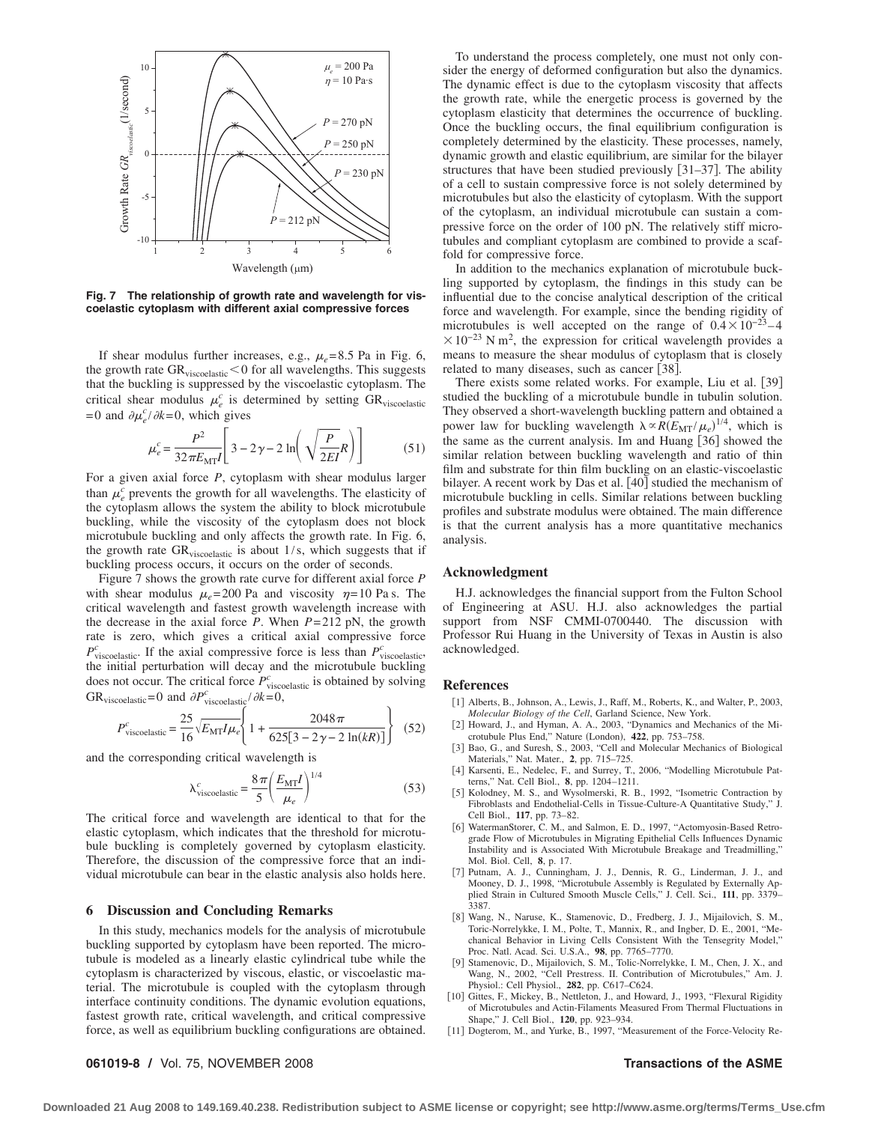

**Fig. 7 The relationship of growth rate and wavelength for viscoelastic cytoplasm with different axial compressive forces**

If shear modulus further increases, e.g.,  $\mu_e$ =8.5 Pa in Fig. 6, the growth rate  $GR_{viscoelastic}$  < 0 for all wavelengths. This suggests that the buckling is suppressed by the viscoelastic cytoplasm. The critical shear modulus  $\mu_e^c$  is determined by setting  $GR_{viscoelastic}$ = 0 and  $\partial \mu_e^c / \partial k = 0$ , which gives

$$
\mu_e^c = \frac{P^2}{32\pi E_{\text{MT}} I} \left[ 3 - 2\gamma - 2\ln\left(\sqrt{\frac{P}{2EI}}R\right) \right]
$$
(51)

For a given axial force *P*, cytoplasm with shear modulus larger than  $\mu_e^c$  prevents the growth for all wavelengths. The elasticity of the cytoplasm allows the system the ability to block microtubule buckling, while the viscosity of the cytoplasm does not block microtubule buckling and only affects the growth rate. In Fig. 6, the growth rate  $GR<sub>viscoelastic</sub>$  is about 1/s, which suggests that if buckling process occurs, it occurs on the order of seconds.

Figure 7 shows the growth rate curve for different axial force *P* with shear modulus  $\mu_e$ = 200 Pa and viscosity  $\eta$ = 10 Pa s. The critical wavelength and fastest growth wavelength increase with the decrease in the axial force  $P$ . When  $P = 212$  pN, the growth rate is zero, which gives a critical axial compressive force  $P_{\text{viscoelastic}}^c$ . If the axial compressive force is less than  $P_{\text{viscoelastic}}^c$ , the initial perturbation will decay and the microtubule buckling does not occur. The critical force  $P_{\text{viscoelastic}}^c$  is obtained by solving  $GR_{viscoelastic} = 0$  and  $\partial P_{viscoelastic}^{c} / \partial k = 0$ ,

$$
P_{\text{viscoelastic}}^c = \frac{25}{16} \sqrt{E_{\text{MT}} I \mu_e} \left\{ 1 + \frac{2048 \pi}{625[3 - 2\gamma - 2 \ln(kR)]} \right\}
$$
 (52)

and the corresponding critical wavelength is

$$
\lambda_{\text{viscoelastic}}^c = \frac{8\pi}{5} \left(\frac{E_{\text{MT}}I}{\mu_e}\right)^{1/4} \tag{53}
$$

The critical force and wavelength are identical to that for the elastic cytoplasm, which indicates that the threshold for microtubule buckling is completely governed by cytoplasm elasticity. Therefore, the discussion of the compressive force that an individual microtubule can bear in the elastic analysis also holds here.

### **6 Discussion and Concluding Remarks**

In this study, mechanics models for the analysis of microtubule buckling supported by cytoplasm have been reported. The microtubule is modeled as a linearly elastic cylindrical tube while the cytoplasm is characterized by viscous, elastic, or viscoelastic material. The microtubule is coupled with the cytoplasm through interface continuity conditions. The dynamic evolution equations, fastest growth rate, critical wavelength, and critical compressive force, as well as equilibrium buckling configurations are obtained.

To understand the process completely, one must not only consider the energy of deformed configuration but also the dynamics. The dynamic effect is due to the cytoplasm viscosity that affects the growth rate, while the energetic process is governed by the cytoplasm elasticity that determines the occurrence of buckling. Once the buckling occurs, the final equilibrium configuration is completely determined by the elasticity. These processes, namely, dynamic growth and elastic equilibrium, are similar for the bilayer structures that have been studied previously [31-37]. The ability of a cell to sustain compressive force is not solely determined by microtubules but also the elasticity of cytoplasm. With the support of the cytoplasm, an individual microtubule can sustain a compressive force on the order of 100 pN. The relatively stiff microtubules and compliant cytoplasm are combined to provide a scaffold for compressive force.

In addition to the mechanics explanation of microtubule buckling supported by cytoplasm, the findings in this study can be influential due to the concise analytical description of the critical force and wavelength. For example, since the bending rigidity of microtubules is well accepted on the range of  $0.4 \times 10^{-23} - 4$  $\times$ 10<sup>−23</sup> N m<sup>2</sup>, the expression for critical wavelength provides a means to measure the shear modulus of cytoplasm that is closely related to many diseases, such as cancer [38].

There exists some related works. For example, Liu et al. [39] studied the buckling of a microtubule bundle in tubulin solution. They observed a short-wavelength buckling pattern and obtained a power law for buckling wavelength  $\lambda \propto R(E_{\text{MT}}/\mu_e)^{1/4}$ , which is the same as the current analysis. Im and Huang [36] showed the similar relation between buckling wavelength and ratio of thin film and substrate for thin film buckling on an elastic-viscoelastic bilayer. A recent work by Das et al. [40] studied the mechanism of microtubule buckling in cells. Similar relations between buckling profiles and substrate modulus were obtained. The main difference is that the current analysis has a more quantitative mechanics analysis.

#### **Acknowledgment**

H.J. acknowledges the financial support from the Fulton School of Engineering at ASU. H.J. also acknowledges the partial support from NSF CMMI-0700440. The discussion with Professor Rui Huang in the University of Texas in Austin is also acknowledged.

#### **References**

- [1] Alberts, B., Johnson, A., Lewis, J., Raff, M., Roberts, K., and Walter, P., 2003, *Molecular Biology of the Cell*, Garland Science, New York.
- [2] Howard, J., and Hyman, A. A., 2003, "Dynamics and Mechanics of the Microtubule Plus End," Nature London, **422**, pp. 753–758.
- [3] Bao, G., and Suresh, S., 2003, "Cell and Molecular Mechanics of Biological Materials," Nat. Mater., **2**, pp. 715–725.
- [4] Karsenti, E., Nedelec, F., and Surrey, T., 2006, "Modelling Microtubule Patterns," Nat. Cell Biol., **8**, pp. 1204–1211.
- [5] Kolodney, M. S., and Wysolmerski, R. B., 1992, "Isometric Contraction by Fibroblasts and Endothelial-Cells in Tissue-Culture-A Quantitative Study," J. Cell Biol., **117**, pp. 73–82.
- [6] WatermanStorer, C. M., and Salmon, E. D., 1997, "Actomyosin-Based Retrograde Flow of Microtubules in Migrating Epithelial Cells Influences Dynamic Instability and is Associated With Microtubule Breakage and Treadmilling," Mol. Biol. Cell, **8**, p. 17.
- [7] Putnam, A. J., Cunningham, J. J., Dennis, R. G., Linderman, J. J., and Mooney, D. J., 1998, "Microtubule Assembly is Regulated by Externally Applied Strain in Cultured Smooth Muscle Cells," J. Cell. Sci., **111**, pp. 3379– 3387.
- [8] Wang, N., Naruse, K., Stamenovic, D., Fredberg, J. J., Mijailovich, S. M., Toric-Norrelykke, I. M., Polte, T., Mannix, R., and Ingber, D. E., 2001, "Mechanical Behavior in Living Cells Consistent With the Tensegrity Model,"
- Proc. Natl. Acad. Sci. U.S.A., 98, pp. 7765–7770.<br>[9] Stamenovic, D., Mijailovich, S. M., Tolic-Norrelykke, I. M., Chen, J. X., and Wang, N., 2002, "Cell Prestress. II. Contribution of Microtubules," Am. J. Physiol.: Cell Physiol., **282**, pp. C617–C624.
- [10] Gittes, F., Mickey, B., Nettleton, J., and Howard, J., 1993, "Flexural Rigidity of Microtubules and Actin-Filaments Measured From Thermal Fluctuations in Shape," J. Cell Biol., **120**, pp. 923–934.
- [11] Dogterom, M., and Yurke, B., 1997, "Measurement of the Force-Velocity Re-

#### **061019-8 /** Vol. 75, NOVEMBER 2008 **Transactions of the ASME**